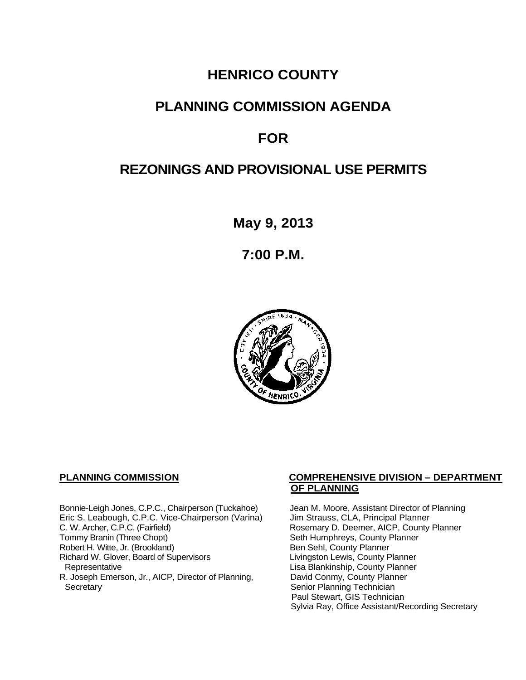# **HENRICO COUNTY**

# **PLANNING COMMISSION AGENDA**

# **FOR**

# **REZONINGS AND PROVISIONAL USE PERMITS**

**May 9, 2013**

**7:00 P.M.**



Bonnie-Leigh Jones, C.P.C., Chairperson (Tuckahoe) Jean M. Moore, Assistant Director of Planning<br>Eric S. Leabough, C.P.C. Vice-Chairperson (Varina) Jim Strauss, CLA, Principal Planner Eric S. Leabough, C.P.C. Vice-Chairperson (Varina)<br>C. W. Archer, C.P.C. (Fairfield) C. W. Archer, C.P.C. (Fairfield) Rosemary D. Deemer, AICP, County Planner<br>
Tommy Branin (Three Chopt) Seth Humphreys, County Planner Robert H. Witte, Jr. (Brookland)<br>
Richard W. Glover, Board of Supervisors<br>
Livingston Lewis, County Planner Richard W. Glover, Board of Supervisors<br>Representative R. Joseph Emerson, Jr., AICP, Director of Planning, Secretary

## **PLANNING COMMISSION COMPREHENSIVE DIVISION – DEPARTMENT OF PLANNING**

Seth Humphreys, County Planner<br>Ben Sehl, County Planner Lisa Blankinship, County Planner<br>David Conmy, County Planner Senior Planning Technician Paul Stewart, GIS Technician Sylvia Ray, Office Assistant/Recording Secretary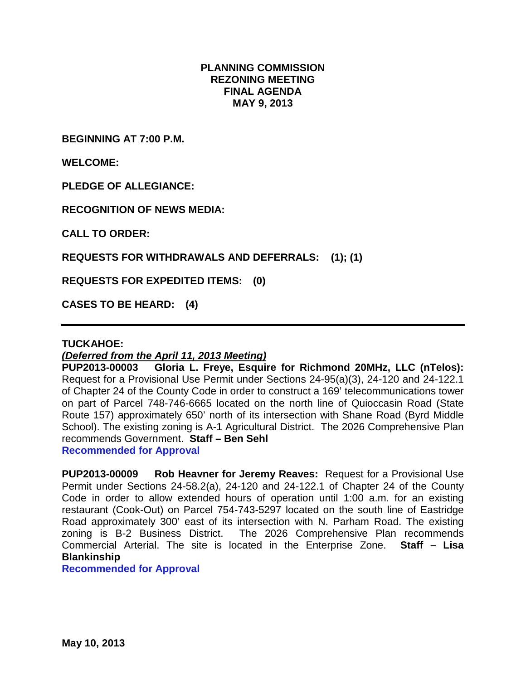## **PLANNING COMMISSION REZONING MEETING FINAL AGENDA MAY 9, 2013**

**BEGINNING AT 7:00 P.M.**

**WELCOME:**

**PLEDGE OF ALLEGIANCE:**

**RECOGNITION OF NEWS MEDIA:**

**CALL TO ORDER:**

**REQUESTS FOR WITHDRAWALS AND DEFERRALS: (1); (1)**

**REQUESTS FOR EXPEDITED ITEMS: (0)**

**CASES TO BE HEARD: (4)**

#### **TUCKAHOE:**

### *(Deferred from the April 11, 2013 Meeting)*

**PUP2013-00003 Gloria L. Freye, Esquire for Richmond 20MHz, LLC (nTelos):**  Request for a Provisional Use Permit under Sections 24-95(a)(3), 24-120 and 24-122.1 of Chapter 24 of the County Code in order to construct a 169' telecommunications tower on part of Parcel 748-746-6665 located on the north line of Quioccasin Road (State Route 157) approximately 650' north of its intersection with Shane Road (Byrd Middle School). The existing zoning is A-1 Agricultural District. The 2026 Comprehensive Plan recommends Government. **Staff – Ben Sehl** 

**Recommended for Approval**

**PUP2013-00009 Rob Heavner for Jeremy Reaves:** Request for a Provisional Use Permit under Sections 24-58.2(a), 24-120 and 24-122.1 of Chapter 24 of the County Code in order to allow extended hours of operation until 1:00 a.m. for an existing restaurant (Cook-Out) on Parcel 754-743-5297 located on the south line of Eastridge Road approximately 300' east of its intersection with N. Parham Road. The existing zoning is B-2 Business District. The 2026 Comprehensive Plan recommends Commercial Arterial. The site is located in the Enterprise Zone. **Staff – Lisa Blankinship**

**Recommended for Approval**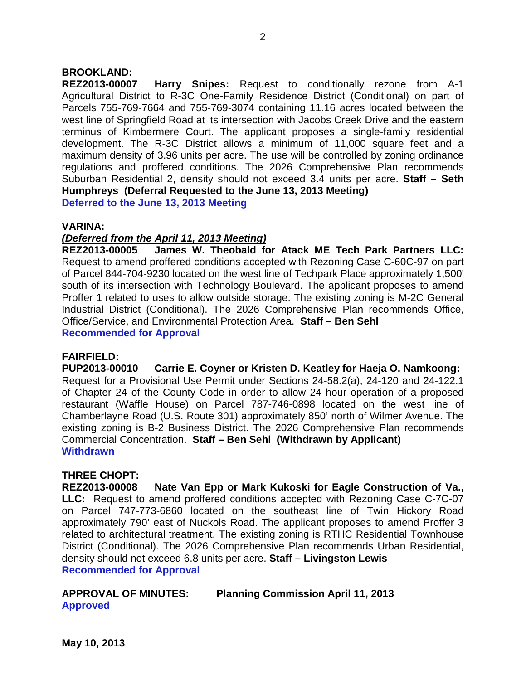## **BROOKLAND:**

**REZ2013-00007 Harry Snipes:** Request to conditionally rezone from A-1 Agricultural District to R-3C One-Family Residence District (Conditional) on part of Parcels 755-769-7664 and 755-769-3074 containing 11.16 acres located between the west line of Springfield Road at its intersection with Jacobs Creek Drive and the eastern terminus of Kimbermere Court. The applicant proposes a single-family residential development. The R-3C District allows a minimum of 11,000 square feet and a maximum density of 3.96 units per acre. The use will be controlled by zoning ordinance regulations and proffered conditions. The 2026 Comprehensive Plan recommends Suburban Residential 2, density should not exceed 3.4 units per acre. **Staff – Seth Humphreys (Deferral Requested to the June 13, 2013 Meeting) Deferred to the June 13, 2013 Meeting**

#### **VARINA:**

#### *(Deferred from the April 11, 2013 Meeting)*

**REZ2013-00005 James W. Theobald for Atack ME Tech Park Partners LLC:**  Request to amend proffered conditions accepted with Rezoning Case C-60C-97 on part of Parcel 844-704-9230 located on the west line of Techpark Place approximately 1,500' south of its intersection with Technology Boulevard. The applicant proposes to amend Proffer 1 related to uses to allow outside storage. The existing zoning is M-2C General Industrial District (Conditional). The 2026 Comprehensive Plan recommends Office, Office/Service, and Environmental Protection Area. **Staff – Ben Sehl Recommended for Approval**

### **FAIRFIELD:**

**PUP2013-00010 Carrie E. Coyner or Kristen D. Keatley for Haeja O. Namkoong:** Request for a Provisional Use Permit under Sections 24-58.2(a), 24-120 and 24-122.1 of Chapter 24 of the County Code in order to allow 24 hour operation of a proposed restaurant (Waffle House) on Parcel 787-746-0898 located on the west line of Chamberlayne Road (U.S. Route 301) approximately 850' north of Wilmer Avenue. The existing zoning is B-2 Business District. The 2026 Comprehensive Plan recommends Commercial Concentration. **Staff – Ben Sehl (Withdrawn by Applicant) Withdrawn**

### **THREE CHOPT:**

**REZ2013-00008 Nate Van Epp or Mark Kukoski for Eagle Construction of Va., LLC:** Request to amend proffered conditions accepted with Rezoning Case C-7C-07 on Parcel 747-773-6860 located on the southeast line of Twin Hickory Road approximately 790' east of Nuckols Road. The applicant proposes to amend Proffer 3 related to architectural treatment. The existing zoning is RTHC Residential Townhouse District (Conditional). The 2026 Comprehensive Plan recommends Urban Residential, density should not exceed 6.8 units per acre. **Staff – Livingston Lewis Recommended for Approval**

## **APPROVAL OF MINUTES: Planning Commission April 11, 2013 Approved**